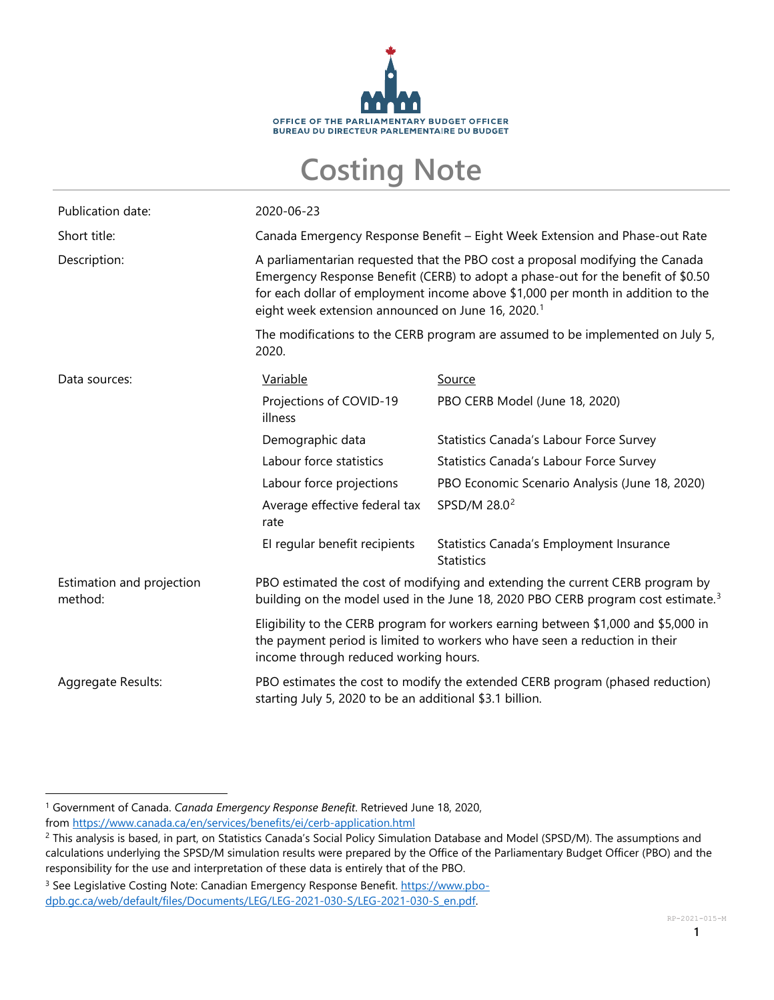

## **Costing Note**

| Publication date:                    | 2020-06-23                                                                                                                                                                                                                                                                                                            |                                                               |  |
|--------------------------------------|-----------------------------------------------------------------------------------------------------------------------------------------------------------------------------------------------------------------------------------------------------------------------------------------------------------------------|---------------------------------------------------------------|--|
| Short title:                         | Canada Emergency Response Benefit - Eight Week Extension and Phase-out Rate                                                                                                                                                                                                                                           |                                                               |  |
| Description:                         | A parliamentarian requested that the PBO cost a proposal modifying the Canada<br>Emergency Response Benefit (CERB) to adopt a phase-out for the benefit of \$0.50<br>for each dollar of employment income above \$1,000 per month in addition to the<br>eight week extension announced on June 16, 2020. <sup>1</sup> |                                                               |  |
|                                      | The modifications to the CERB program are assumed to be implemented on July 5,<br>2020.                                                                                                                                                                                                                               |                                                               |  |
| Data sources:                        | Variable                                                                                                                                                                                                                                                                                                              | <u>Source</u>                                                 |  |
|                                      | Projections of COVID-19<br>illness                                                                                                                                                                                                                                                                                    | PBO CERB Model (June 18, 2020)                                |  |
|                                      | Demographic data                                                                                                                                                                                                                                                                                                      | Statistics Canada's Labour Force Survey                       |  |
|                                      | Labour force statistics                                                                                                                                                                                                                                                                                               | Statistics Canada's Labour Force Survey                       |  |
|                                      | Labour force projections                                                                                                                                                                                                                                                                                              | PBO Economic Scenario Analysis (June 18, 2020)                |  |
|                                      | Average effective federal tax<br>rate                                                                                                                                                                                                                                                                                 | SPSD/M 28.0 <sup>2</sup>                                      |  |
|                                      | El regular benefit recipients                                                                                                                                                                                                                                                                                         | Statistics Canada's Employment Insurance<br><b>Statistics</b> |  |
| Estimation and projection<br>method: | PBO estimated the cost of modifying and extending the current CERB program by<br>building on the model used in the June 18, 2020 PBO CERB program cost estimate. <sup>3</sup>                                                                                                                                         |                                                               |  |
|                                      | Eligibility to the CERB program for workers earning between \$1,000 and \$5,000 in<br>the payment period is limited to workers who have seen a reduction in their<br>income through reduced working hours.                                                                                                            |                                                               |  |
| Aggregate Results:                   | PBO estimates the cost to modify the extended CERB program (phased reduction)<br>starting July 5, 2020 to be an additional \$3.1 billion.                                                                                                                                                                             |                                                               |  |

<span id="page-0-0"></span><sup>1</sup> Government of Canada. *Canada Emergency Response Benefit*. Retrieved June 18, 2020, from <https://www.canada.ca/en/services/benefits/ei/cerb-application.html>

<span id="page-0-1"></span><sup>&</sup>lt;sup>2</sup> This analysis is based, in part, on Statistics Canada's Social Policy Simulation Database and Model (SPSD/M). The assumptions and calculations underlying the SPSD/M simulation results were prepared by the Office of the Parliamentary Budget Officer (PBO) and the responsibility for the use and interpretation of these data is entirely that of the PBO.

<span id="page-0-2"></span><sup>&</sup>lt;sup>3</sup> See Legislative Costing Note: Canadian Emergency Response Benefit. [https://www.pbo](https://www.pbo-dpb.gc.ca/web/default/files/Documents/LEG/LEG-2021-030-S/LEG-2021-030-S_en.pdf)[dpb.gc.ca/web/default/files/Documents/LEG/LEG-2021-030-S/LEG-2021-030-S\\_en.pdf.](https://www.pbo-dpb.gc.ca/web/default/files/Documents/LEG/LEG-2021-030-S/LEG-2021-030-S_en.pdf)